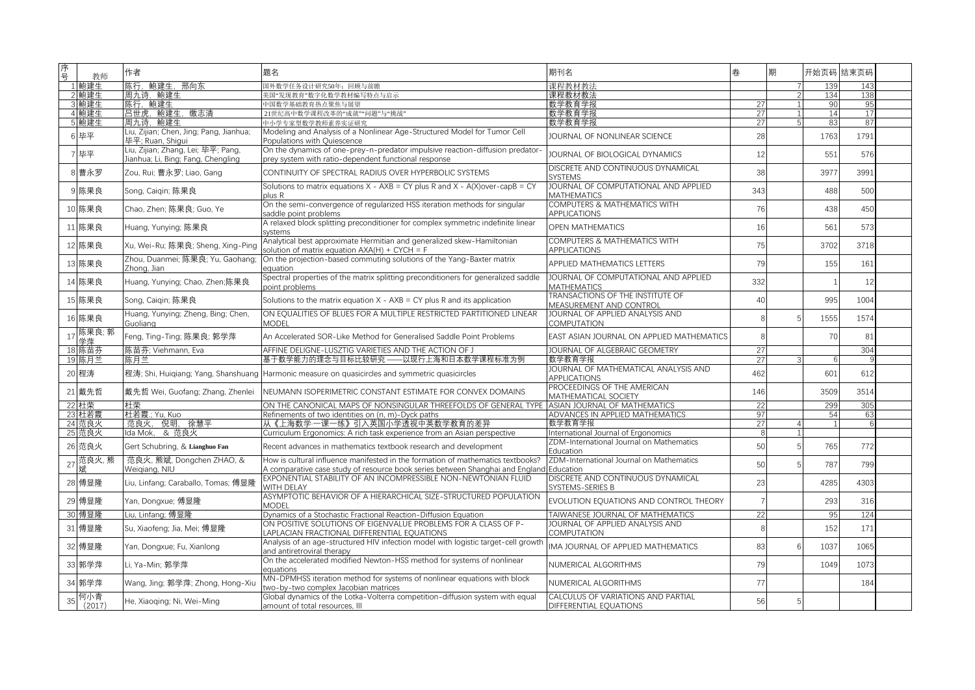| 序号 | 教师            | 作者                                                                       | 题名                                                                                                                                                                         | 期刊名                                                            | 卷               | 期 | 开始页码 结束页码 |            |  |
|----|---------------|--------------------------------------------------------------------------|----------------------------------------------------------------------------------------------------------------------------------------------------------------------------|----------------------------------------------------------------|-----------------|---|-----------|------------|--|
|    | 1 鲍建生         | 陈行,鲍建生,邢向东                                                               | 国外数学任务设计研究50年: 回顾与前瞻                                                                                                                                                       | 课程教材教法                                                         |                 |   | 139       | 143        |  |
|    | 2 鲍建生         | 周九诗, 鲍建生                                                                 | 美国"发现教育"数字化数学教材编写特点与启示                                                                                                                                                     | 课程教材教法                                                         |                 |   | 134       | 138        |  |
|    | 3 鲍建生         | 陈行,鲍建生                                                                   | 中国数学基础教育热点聚焦与展望                                                                                                                                                            | 数学教育学报                                                         | 27              |   | 90        | 95         |  |
|    | 4 鲍建生         | 吕世虎、鲍建生、缴志清                                                              | 21世纪高中数学课程改革的"成就""问题"与"挑战"                                                                                                                                                 | 数学教育学报                                                         | 27              |   | 14        | 17         |  |
|    | 5 鲍建生         | 周九诗, 鲍建生                                                                 | 中小学专家型数学教师素养实证研究                                                                                                                                                           | 数学教育学报                                                         | 27              |   | 8:        | 87         |  |
|    | 毕平            | Liu, Zijian; Chen, Jing; Pang, Jianhua;<br>毕平: Ruan, Shigui              | Modeling and Analysis of a Nonlinear Age-Structured Model for Tumor Cell<br>Populations with Ouiescence                                                                    | JOURNAL OF NONLINEAR SCIENCE                                   | 28              |   | 1763      | 1791       |  |
|    | 毕平            | Liu, Zijian; Zhang, Lei; 毕平; Pang,<br>Jianhua; Li, Bing; Fang, Chengling | On the dynamics of one-prey-n-predator impulsive reaction-diffusion predator<br>prey system with ratio-dependent functional response                                       | JOURNAL OF BIOLOGICAL DYNAMICS                                 | 12              |   | 551       | 576        |  |
|    | 曹永罗           | Zou, Rui; 曹永罗; Liao, Gang                                                | CONTINUITY OF SPECTRAL RADIUS OVER HYPERBOLIC SYSTEMS                                                                                                                      | DISCRETE AND CONTINUOUS DYNAMICAL<br><b>SYSTEMS</b>            | 38              |   | 3977      | 3991       |  |
|    | 陈果良           | Song, Caigin; 陈果良                                                        | Solutions to matrix equations $X - AXB = CY$ plus R and $X - A(X)$ over-capB = CY<br>plus R                                                                                | JOURNAL OF COMPUTATIONAL AND APPLIED<br><b>MATHEMATICS</b>     | 343             |   | 488       | 500        |  |
|    | 陈果良           | Chao, Zhen; 陈果良; Guo, Ye                                                 | On the semi-convergence of regularized HSS iteration methods for singular<br>saddle point problems                                                                         | <b>COMPUTERS &amp; MATHEMATICS WITH</b><br><b>APPLICATIONS</b> | 76              |   | 438       | 450        |  |
|    | 陈果良           | Huang, Yunying; 陈果良                                                      | A relaxed block splitting preconditioner for complex symmetric indefinite linear<br>systems                                                                                | <b>OPEN MATHEMATICS</b>                                        | 16              |   | 561       | 573        |  |
|    | 12 陈果良        | Xu, Wei-Ru; 陈果良; Sheng, Xing-Ping                                        | Analytical best approximate Hermitian and generalized skew-Hamiltonian<br>solution of matrix equation $AXA(H) + CYCH = F$                                                  | <b>COMPUTERS &amp; MATHEMATICS WITH</b><br><b>APPLICATIONS</b> | 75              |   | 3702      | 3718       |  |
|    | 陈果良           | Zhou, Duanmei; 陈果良; Yu, Gaohang;<br>Zhong, Jian                          | On the projection-based commuting solutions of the Yang-Baxter matrix<br>equation                                                                                          | APPLIED MATHEMATICS LETTERS                                    | 79              |   | 155       | 161        |  |
|    | 陈果良           | Huang, Yunying; Chao, Zhen;陈果良                                           | Spectral properties of the matrix splitting preconditioners for generalized saddle<br>point problems                                                                       | JOURNAL OF COMPUTATIONAL AND APPLIED<br><b>MATHEMATICS</b>     | 332             |   |           | 12         |  |
|    | 陈果良           | Song, Caigin; 陈果良                                                        | Solutions to the matrix equation $X - AXB = CY$ plus R and its application                                                                                                 | TRANSACTIONS OF THE INSTITUTE OF<br>MEASUREMENT AND CONTROL    | 40              |   | 995       | 1004       |  |
|    | 16 陈果良        | Huang, Yunying; Zheng, Bing; Chen,<br>Guoliang                           | ON EQUALITIES OF BLUES FOR A MULTIPLE RESTRICTED PARTITIONED LINEAR<br><b>MODEL</b>                                                                                        | JOURNAL OF APPLIED ANALYSIS AND<br>COMPUTATION                 | $\mathcal{R}$   |   | 1555      | 1574       |  |
|    | 陈果良; 郭<br>学莎  | Feng, Ting-Ting; 陈果良; 郭学萍                                                | An Accelerated SOR-Like Method for Generalised Saddle Point Problems                                                                                                       | EAST ASIAN JOURNAL ON APPLIED MATHEMATICS                      | 8               |   | 70        | 81         |  |
|    | 18 陈苗芬        | 陈苗芬; Viehmann, Eva                                                       | AFFINE DELIGNE-LUSZTIG VARIETIES AND THE ACTION OF J                                                                                                                       | JOURNAL OF ALGEBRAIC GEOMETRY                                  | 27              |   |           | 304        |  |
|    | 19 陈月兰        | 陈月兰                                                                      | 基于数学能力的理念与目标比较研究 ——以现行上海和日本数学课程标准为例                                                                                                                                        | 数学教育学报                                                         | 27              |   | ĥ         |            |  |
|    | 20 程涛         |                                                                          | 程涛; Shi, Huigiang; Yang, Shanshuang Harmonic measure on quasicircles and symmetric quasicircles                                                                            | JOURNAL OF MATHEMATICAL ANALYSIS AND<br><b>APPLICATIONS</b>    | 462             |   | 601       | 612        |  |
|    | 21 戴先哲        | 戴先哲 Wei, Guofang; Zhang, Zhenlei                                         | NEUMANN ISOPERIMETRIC CONSTANT ESTIMATE FOR CONVEX DOMAINS                                                                                                                 | PROCEEDINGS OF THE AMERICAN<br><b>MATHEMATICAL SOCIETY</b>     | 146             |   | 3509      | 3514       |  |
|    | 22 杜荣         | 杜荣                                                                       | ON THE CANONICAL MAPS OF NONSINGULAR THREEFOLDS OF GENERAL TYP                                                                                                             | ASIAN JOURNAL OF MATHEMATICS                                   | 22              |   | 299       | 305        |  |
|    | 23 杜若霞        | 杜若霞; Yu, Kuo                                                             | Refinements of two identities on (n. m)-Dyck paths                                                                                                                         | ADVANCES IN APPLIED MATHEMATICS                                | 97              |   | 54        | 63         |  |
|    | 24 范良火        | 倪明,徐慧平<br>范良火.                                                           | 从《上海数学·一课一练》引入英国小学透视中英数学教育的差异                                                                                                                                              | 数学教育学报                                                         | 27              |   |           | $\sqrt{2}$ |  |
|    | 25 范良火        | Ida Mok. & 范良火                                                           | Curriculum Ergonomics: A rich task experience from an Asian perspective                                                                                                    | International Journal of Ergonomics                            | -8              |   |           |            |  |
|    | 26 范良火        | Gert Schubring, & Lianghuo Fan                                           | Recent advances in mathematics textbook research and development                                                                                                           | ZDM-International Journal on Mathematics<br>Education          | 50              |   | 765       | 772        |  |
| 27 | 范良火,熊         | 范良火, 熊斌, Dongchen ZHAO, &<br>Weigiang, NIU                               | How is cultural influence manifested in the formation of mathematics textbooks?<br>A comparative case study of resource book series between Shanghai and England Education | ZDM-International Journal on Mathematics                       | 50              |   | 787       | 799        |  |
|    | 28 傅显隆        | Liu, Linfang; Caraballo, Tomas; 傅显隆                                      | EXPONENTIAL STABILITY OF AN INCOMPRESSIBLE NON-NEWTONIAN FLUID<br>WITH DELAY                                                                                               | DISCRETE AND CONTINUOUS DYNAMICAL<br>SYSTEMS-SERIES B          | 23              |   | 4285      | 4303       |  |
|    | 29 傅显隆        | Yan, Dongxue; 傅显隆                                                        | ASYMPTOTIC BEHAVIOR OF A HIERARCHICAL SIZE-STRUCTURED POPULATION<br><b>MODEL</b>                                                                                           | EVOLUTION EQUATIONS AND CONTROL THEORY                         | $\overline{7}$  |   | 293       | 316        |  |
|    | 30 傅显隆        | Liu, Linfang; 傅显隆                                                        | Dynamics of a Stochastic Fractional Reaction-Diffusion Equation                                                                                                            | TAIWANESE JOURNAL OF MATHEMATICS                               | $\overline{22}$ |   | 95        | 124        |  |
|    | 31 傅显隆        | Su, Xiaofeng; Jia, Mei; 傅显隆                                              | ON POSITIVE SOLUTIONS OF EIGENVALUE PROBLEMS FOR A CLASS OF P-<br>LAPLACIAN FRACTIONAL DIFFERENTIAL EOUATIONS                                                              | JOURNAL OF APPLIED ANALYSIS AND<br><b>COMPUTATION</b>          | -8              |   | 152       | 171        |  |
|    | 32 傅显隆        | Yan, Dongxue; Fu, Xianlong                                               | Analysis of an age-structured HIV infection model with logistic target-cell growth<br>and antiretroviral therapy                                                           | IMA JOURNAL OF APPLIED MATHEMATICS                             | 83              |   | 1037      | 1065       |  |
|    | 33 郭学萍        | Li. Ya-Min: 郭学萍                                                          | On the accelerated modified Newton-HSS method for systems of nonlinear<br>equations                                                                                        | NUMERICAL ALGORITHMS                                           | 79              |   | 1049      | 1073       |  |
|    | 34 郭学萍        | Wang, Jing; 郭学萍; Zhong, Hong-Xiu                                         | MN-DPMHSS iteration method for systems of nonlinear equations with block<br>two-by-two complex Jacobian matrices                                                           | NUMERICAL ALGORITHMS                                           | 77              |   |           | 184        |  |
|    | 何小青<br>(2017) | He, Xiaoging; Ni, Wei-Ming                                               | Global dynamics of the Lotka-Volterra competition-diffusion system with equal<br>amount of total resources, III                                                            | CALCULUS OF VARIATIONS AND PARTIAL<br>DIFFERENTIAL EQUATIONS   | 56              |   |           |            |  |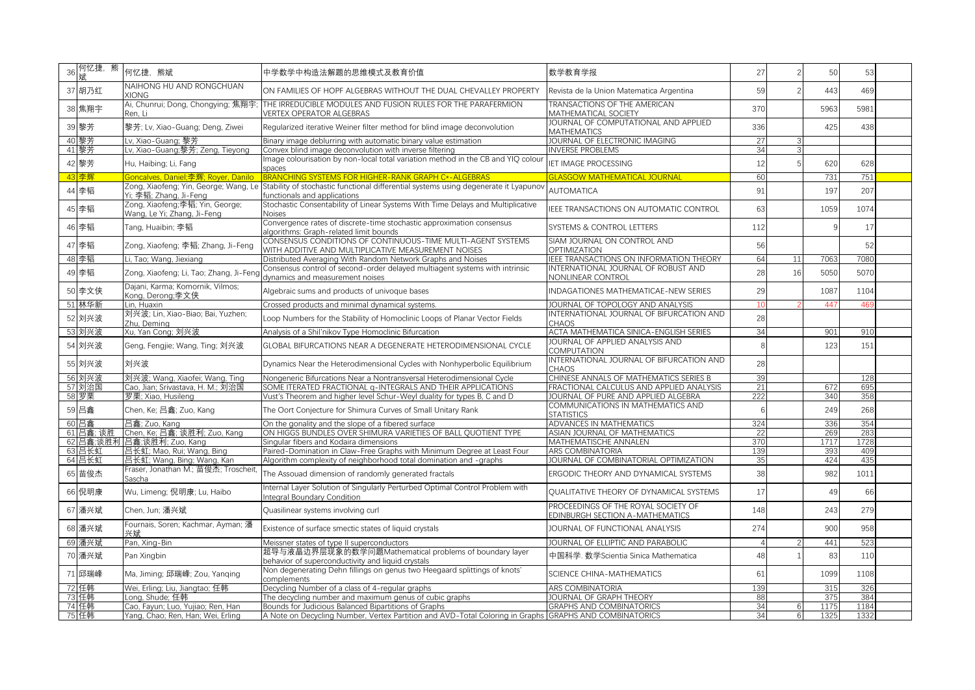| 36 何忆捷, 熊<br>斌 | 何忆捷, 熊斌                                                                     | 中学数学中构造法解题的思维模式及教育价值                                                                                                                                      | 数学教育学报                                                                 | 27           |    | 50              | 53   |  |
|----------------|-----------------------------------------------------------------------------|-----------------------------------------------------------------------------------------------------------------------------------------------------------|------------------------------------------------------------------------|--------------|----|-----------------|------|--|
| 37 胡乃红         | NAIHONG HU AND RONGCHUAN<br><b>XIONG</b>                                    | ON FAMILIES OF HOPF ALGEBRAS WITHOUT THE DUAL CHEVALLEY PROPERTY                                                                                          | Revista de la Union Matematica Argentina                               | 59           |    | 443             | 469  |  |
| 38 焦翔宇         | Ai, Chunrui; Dong, Chongying; 焦翔宇;<br>Ren. Li                               | THE IRREDUCIBLE MODULES AND FUSION RULES FOR THE PARAFERMION<br><b>VERTEX OPERATOR ALGEBRAS</b>                                                           | TRANSACTIONS OF THE AMERICAN<br>MATHEMATICAL SOCIETY                   | 370          |    | 5963            | 5981 |  |
| 39 黎芳          | 黎芳; Lv, Xiao-Guang; Deng, Ziwei                                             | Regularized iterative Weiner filter method for blind image deconvolution                                                                                  | JOURNAL OF COMPUTATIONAL AND APPLIED<br><b>MATHEMATICS</b>             | 336          |    | 425             | 438  |  |
| 40 黎芳          | Lv. Xiao-Guang: 黎芳                                                          | Binary image deblurring with automatic binary value estimation                                                                                            | JOURNAL OF ELECTRONIC IMAGING                                          | 27           |    |                 |      |  |
| 41 黎芳          | Lv, Xiao-Guang;黎芳; Zeng, Tieyong                                            | Convex blind image deconvolution with inverse filtering                                                                                                   | <b>INVERSE PROBLEMS</b>                                                | 34           |    |                 |      |  |
|                |                                                                             | mage colourisation by non-local total variation method in the CB and YIQ colour                                                                           | <b>IET IMAGE PROCESSING</b>                                            |              |    |                 |      |  |
| 42 黎芳          | Hu, Haibing; Li, Fang                                                       | spaces                                                                                                                                                    |                                                                        | 12           |    | 620             | 628  |  |
| 43 李 辉         | Goncalves, Daniel;李辉; Royer, Danilo                                         | BRANCHING SYSTEMS FOR HIGHER-RANK GRAPH C*-ALGEBRAS                                                                                                       | <b>GLASGOW MATHEMATICAL JOURNAL</b>                                    | 60           |    | 731             | 751  |  |
| 44 李韬          | Yi; 李韬; Zhang, Ji-Feng                                                      | Zong, Xiaofeng; Yin, George; Wang, Le Stability of stochastic functional differential systems using degenerate it Lyapuno<br>functionals and applications | <b>AUTOMATICA</b>                                                      | 91           |    | 197             | 207  |  |
| 45 李韬          | Zong, Xiaofeng;李韬; Yin, George;<br>Wang, Le Yi; Zhang, Ji-Feng              | Stochastic Consentability of Linear Systems With Time Delays and Multiplicative<br>Noises                                                                 | IEEE TRANSACTIONS ON AUTOMATIC CONTROL                                 | 63           |    | 1059            | 1074 |  |
| 46 李韬          | Tang, Huaibin; 李韬                                                           | Convergence rates of discrete-time stochastic approximation consensus<br>algorithms: Graph-related limit bounds                                           | SYSTEMS & CONTROL LETTERS                                              | 112          |    |                 | 17   |  |
| 47 李韬          | Zong, Xiaofeng; 李韬; Zhang, Ji-Feng                                          | CONSENSUS CONDITIONS OF CONTINUOUS-TIME MULTI-AGENT SYSTEMS<br>WITH ADDITIVE AND MULTIPLICATIVE MEASUREMENT NOISES                                        | SIAM JOURNAL ON CONTROL AND<br><b>OPTIMIZATION</b>                     | 56           |    |                 | 52   |  |
| 48 李韬          | Li, Tao; Wang, Jiexiang                                                     | Distributed Averaging With Random Network Graphs and Noises                                                                                               | IEEE TRANSACTIONS ON INFORMATION THEORY                                | 64           | 11 | 7063            | 7080 |  |
|                |                                                                             | Consensus control of second-order delayed multiagent systems with intrinsic                                                                               | INTERNATIONAL JOURNAL OF ROBUST AND                                    |              |    |                 |      |  |
| 49 李韬          | Zong, Xiaofeng; Li, Tao; Zhang, Ji-Feng<br>Dajani, Karma; Komornik, Vilmos; | dynamics and measurement noises                                                                                                                           | NONLINEAR CONTROL                                                      | 28           | 16 | 5050            | 5070 |  |
| 50 李文侠         | Kong. Derong:李文侠                                                            | Algebraic sums and products of univoque bases                                                                                                             | INDAGATIONES MATHEMATICAE-NEW SERIES                                   | 29           |    | 1087            | 1104 |  |
| 51 林华新         | Lin. Huaxin                                                                 | Crossed products and minimal dynamical systems.                                                                                                           | JOURNAL OF TOPOLOGY AND ANALYSIS                                       | 10           |    | 44 <sup>7</sup> | 46   |  |
| 52 刘兴波         | 刘兴波: Lin. Xiao-Biao: Bai. Yuzhen:<br>Zhu, Deming                            | Loop Numbers for the Stability of Homoclinic Loops of Planar Vector Fields                                                                                | INTERNATIONAL JOURNAL OF BIFURCATION AND<br><b>CHAOS</b>               | 28           |    |                 |      |  |
| 53 刘兴波         | Xu, Yan Cong; 刘兴波                                                           | Analysis of a Shil'nikov Type Homoclinic Bifurcation                                                                                                      | ACTA MATHEMATICA SINICA-ENGLISH SERIES                                 | 34           |    | 901             | 910  |  |
| 54 刘兴波         | Geng, Fengjie; Wang, Ting; 刘兴波                                              | GLOBAL BIFURCATIONS NEAR A DEGENERATE HETERODIMENSIONAL CYCLE                                                                                             | JOURNAL OF APPLIED ANALYSIS AND<br><b>COMPUTATION</b>                  | $\mathsf{R}$ |    | 123             | 151  |  |
| 55 刘兴波         | 刘兴波                                                                         | Dynamics Near the Heterodimensional Cycles with Nonhyperbolic Equilibrium                                                                                 | INTERNATIONAL JOURNAL OF BIFURCATION AND<br><b>CHAOS</b>               | 28           |    |                 |      |  |
| 56 刘兴波         | 刘兴波; Wang, Xiaofei; Wang, Ting                                              | Nongeneric Bifurcations Near a Nontransversal Heterodimensional Cycle                                                                                     | CHINESE ANNALS OF MATHEMATICS SERIES B                                 | 39           |    |                 | 128  |  |
| 57 刘治国         | Cao, Jian; Srivastava, H. M.; 刘治国                                           | SOME ITERATED FRACTIONAL g-INTEGRALS AND THEIR APPLICATIONS                                                                                               | FRACTIONAL CALCULUS AND APPLIED ANALYSIS                               | 21           |    | 672             | 695  |  |
| 58 罗栗          | 罗栗: Xiao, Husileng                                                          | Vust's Theorem and higher level Schur-Weyl duality for types B, C and D                                                                                   | JOURNAL OF PURE AND APPLIED ALGEBRA                                    | 222          |    | 340             | 358  |  |
| 59 吕鑫          | Chen, Ke; 吕鑫; Zuo, Kang                                                     | The Oort Conjecture for Shimura Curves of Small Unitary Rank                                                                                              | COMMUNICATIONS IN MATHEMATICS AND<br><b>STATISTICS</b>                 |              |    | 249             | 268  |  |
| 60 吕鑫          | 吕鑫; Zuo, Kang                                                               | On the gonality and the slope of a fibered surface                                                                                                        | ADVANCES IN MATHEMATICS                                                | 324          |    | 336             | 354  |  |
| 61 吕鑫; 谈胜      | Chen, Ke; 吕鑫; 谈胜利; Zuo, Kang                                                | ON HIGGS BUNDLES OVER SHIMURA VARIETIES OF BALL OUOTIENT TYPE                                                                                             | ASIAN JOURNAL OF MATHEMATICS                                           | 22           |    | 269             | 283  |  |
|                | 62 吕鑫;谈胜利 吕鑫;谈胜利; Zuo, Kang                                                 | Singular fibers and Kodaira dimensions                                                                                                                    | MATHEMATISCHE ANNALEN                                                  | 370          |    | 1717            | 1728 |  |
| 63 吕长虹         | 吕长虹; Mao, Rui; Wang, Bing                                                   | Paired-Domination in Claw-Free Graphs with Minimum Degree at Least Four                                                                                   | <b>ARS COMBINATORIA</b>                                                | 139          |    | 393             | 409  |  |
| 64 吕长虹         | 吕长虹; Wang, Bing; Wang, Kan                                                  | Algorithm complexity of neighborhood total domination and -graphs                                                                                         | JOURNAL OF COMBINATORIAL OPTIMIZATION                                  | 35           |    | 424             | 435  |  |
| 65 苗俊杰         | Fraser, Jonathan M.; 苗俊杰; Troscheit,<br>Sascha                              | The Assouad dimension of randomly generated fractals                                                                                                      | ERGODIC THEORY AND DYNAMICAL SYSTEMS                                   | 38           |    | 982             | 1011 |  |
| 66 倪明康         | Wu, Limeng; 倪明康; Lu, Haibo                                                  | nternal Layer Solution of Singularly Perturbed Optimal Control Problem with<br>Integral Boundary Condition                                                | QUALITATIVE THEORY OF DYNAMICAL SYSTEMS                                | 17           |    | 49              | 66   |  |
| 67 潘兴斌         | Chen, Jun; 潘兴斌                                                              | Quasilinear systems involving curl                                                                                                                        | PROCEEDINGS OF THE ROYAL SOCIETY OF<br>EDINBURGH SECTION A-MATHEMATICS | 148          |    | 243             | 279  |  |
| 68 潘兴斌         | Fournais, Soren; Kachmar, Ayman; 潘<br>献兴                                    | Existence of surface smectic states of liquid crystals                                                                                                    | JOURNAL OF FUNCTIONAL ANALYSIS                                         | 274          |    | 900             | 958  |  |
| 69 潘兴斌         | Pan, Xing-Bin                                                               | Meissner states of type II superconductors                                                                                                                | JOURNAL OF ELLIPTIC AND PARABOLIC                                      |              |    | 441             | 523  |  |
| 70 潘兴斌         | Pan Xingbin                                                                 | 超导与液晶边界层现象的数学问题Mathematical problems of boundary layer<br>behavior of superconductivity and liquid crystals                                               | 中国科学. 数学Scientia Sinica Mathematica                                    | 48           |    | 83              | 110  |  |
| 71 邱瑞峰         | Ma, Jiming; 邱瑞峰; Zou, Yanqing                                               | Non degenerating Dehn fillings on genus two Heegaard splittings of knots'<br>complements                                                                  | SCIENCE CHINA-MATHEMATICS                                              | 61           |    | 1099            | 1108 |  |
| 72 任韩          | Wei, Erling; Liu, Jiangtao; 任韩                                              | Decycling Number of a class of 4-regular graphs                                                                                                           | ARS COMBINATORIA                                                       | 139          |    | 315             | 326  |  |
| 73 任韩          | Lona. Shude: 任韩                                                             | The decycling number and maximum genus of cubic graphs                                                                                                    | JOURNAL OF GRAPH THEORY                                                | 88           |    | 375             | 384  |  |
| 74 任韩          | Cao, Fayun; Luo, Yujiao; Ren, Han                                           | Bounds for Judicious Balanced Bipartitions of Graphs                                                                                                      | <b>GRAPHS AND COMBINATORICS</b>                                        | 34           |    | 1175            | 1184 |  |
| 75 任韩          | Yang, Chao; Ren, Han; Wei, Erling                                           | A Note on Decycling Number, Vertex Partition and AVD-Total Coloring in Graphs GRAPHS AND COMBINATORICS                                                    |                                                                        | 34           | -6 | 1325            | 1332 |  |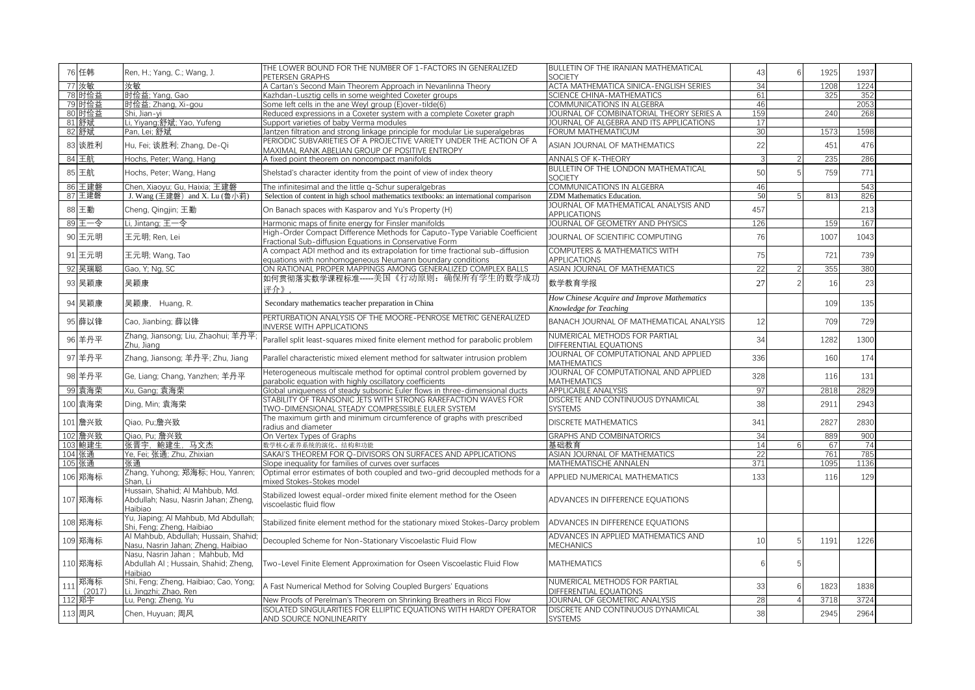|     | 76 任韩         | Ren, H.; Yang, C.; Wang, J.                                                        | THE LOWER BOUND FOR THE NUMBER OF 1-FACTORS IN GENERALIZED<br>PETERSEN GRAPHS                                                             | <b>BULLETIN OF THE IRANIAN MATHEMATICAL</b><br><b>SOCIETY</b>         | 43              | 1925 | 1937       |  |
|-----|---------------|------------------------------------------------------------------------------------|-------------------------------------------------------------------------------------------------------------------------------------------|-----------------------------------------------------------------------|-----------------|------|------------|--|
|     | 77 汝敏         | 汝敏                                                                                 | A Cartan's Second Main Theorem Approach in Nevanlinna Theory                                                                              | ACTA MATHEMATICA SINICA-ENGLISH SERIES                                | 34              | 1208 | 1224       |  |
|     | 78 时俭益        | 时俭益; Yang, Gao                                                                     | Kazhdan-Lusztig cells in some weighted Coxeter groups                                                                                     | <b>SCIENCE CHINA-MATHEMATICS</b>                                      | 61              | 325  | 352        |  |
|     | 79 时俭益        | 时俭益; Zhang, Xi-gou                                                                 | Some left cells in the ane Weyl group (E)over-tilde(6)                                                                                    | COMMUNICATIONS IN ALGEBRA                                             | 46              |      | 2053       |  |
|     | 80 时俭益        | Shi, Jian-yi                                                                       | Reduced expressions in a Coxeter system with a complete Coxeter graph                                                                     | JOURNAL OF COMBINATORIAL THEORY SERIES A                              | 159             | 240  | 268        |  |
|     | 81 舒斌         | Li, Yiyang;舒斌; Yao, Yufeng                                                         | Support varieties of baby Verma modules                                                                                                   | JOURNAL OF ALGEBRA AND ITS APPLICATIONS                               | 17              |      |            |  |
|     | 82 舒斌         | Pan, Lei; 舒斌                                                                       | lantzen filtration and strong linkage principle for modular Lie superalgebras                                                             | FORUM MATHEMATICUM                                                    | 30              | 1573 | 1598       |  |
|     | 83 谈胜利        | Hu, Fei; 谈胜利; Zhang, De-Qi                                                         | PERIODIC SUBVARIETIES OF A PROJECTIVE VARIETY UNDER THE ACTION OF A<br>MAXIMAL RANK ABELIAN GROUP OF POSITIVE ENTROPY                     | ASIAN JOURNAL OF MATHEMATICS                                          | 22              | 451  | 476        |  |
|     | 84 王航         | Hochs, Peter; Wang, Hang                                                           | A fixed point theorem on noncompact manifolds                                                                                             | <b>ANNALS OF K-THEORY</b>                                             |                 | 235  | 286        |  |
|     | 85 王航         | Hochs, Peter; Wang, Hang                                                           | Shelstad's character identity from the point of view of index theory                                                                      | <b>BULLETIN OF THE LONDON MATHEMATICAL</b><br><b>SOCIETY</b>          | 50              | 759  | 771        |  |
|     | 86 王建磐        | Chen, Xiaoyu; Gu, Haixia; 王建磐                                                      | The infinitesimal and the little q-Schur superalgebras                                                                                    | COMMUNICATIONS IN ALGEBRA                                             | 46              |      | 543        |  |
|     | 87 王建磐        | J. Wang (王建磐) and X. Lu (鲁小莉)                                                      | Selection of content in high school mathematics textbooks: an international comparison                                                    | ZDM Mathematics Education.                                            | 50              | 813  | 826        |  |
|     |               |                                                                                    |                                                                                                                                           | JOURNAL OF MATHEMATICAL ANALYSIS AND                                  |                 |      |            |  |
|     | 88 王勤         | Cheng, Qingjin; 王勤<br>Li, Jintang; 王一令                                             | On Banach spaces with Kasparov and Yu's Property (H)                                                                                      | <b>APPLICATIONS</b><br>JOURNAL OF GEOMETRY AND PHYSICS                | 457<br>126      | 159  | 213<br>167 |  |
|     | 89 王一令        |                                                                                    | Harmonic maps of finite energy for Finsler manifolds                                                                                      |                                                                       |                 |      |            |  |
|     | 90 王元明        | 王元明; Ren, Lei                                                                      | High-Order Compact Difference Methods for Caputo-Type Variable Coefficient<br>Fractional Sub-diffusion Equations in Conservative Form     | JOURNAL OF SCIENTIFIC COMPUTING                                       | 76              | 1007 | 1043       |  |
|     | 91 王元明        | 王元明; Wang, Tao                                                                     | A compact ADI method and its extrapolation for time fractional sub-diffusion<br>equations with nonhomogeneous Neumann boundary conditions | COMPUTERS & MATHEMATICS WITH<br><b>APPLICATIONS</b>                   | 75              | 721  | 739        |  |
|     | 92 吴瑞聪        | Gao, Y; Ng, SC                                                                     | ON RATIONAL PROPER MAPPINGS AMONG GENERALIZED COMPLEX BALLS                                                                               | ASIAN JOURNAL OF MATHEMATICS                                          | $\overline{22}$ | 355  | 380        |  |
|     | 93 吴颖康        | 吴颖康                                                                                | 如何贯彻落实数学课程标准-----美国《行动原则: 确保所有学生的数学成功<br>评介》                                                                                              | 数学教育学报                                                                | 27              | 16   | 23         |  |
|     | 94 吴颖康        | 吴颖康, Huang, R.                                                                     | Secondary mathematics teacher preparation in China                                                                                        | How Chinese Acquire and Improve Mathematics<br>Knowledge for Teaching |                 | 109  | 135        |  |
|     | 95 薛以锋        | Cao, Jianbing; 薛以锋                                                                 | PERTURBATION ANALYSIS OF THE MOORE-PENROSE METRIC GENERALIZED<br>NVERSE WITH APPLICATIONS                                                 | BANACH JOURNAL OF MATHEMATICAL ANALYSIS                               | 12              | 709  | 729        |  |
|     | 96 羊丹平        | Zhang, Jiansong; Liu, Zhaohui; 羊丹平<br>Zhu. Jiang                                   | Parallel split least-squares mixed finite element method for parabolic problem                                                            | NUMERICAL METHODS FOR PARTIAL<br>DIFFERENTIAL EQUATIONS               | 34              | 1282 | 1300       |  |
|     | 97 羊丹平        | Zhang, Jiansong; 羊丹平; Zhu, Jiang                                                   | Parallel characteristic mixed element method for saltwater intrusion problem                                                              | JOURNAL OF COMPUTATIONAL AND APPLIED<br><b>MATHEMATICS</b>            | 336             | 160  | 174        |  |
|     | 98 羊丹平        | Ge, Liang; Chang, Yanzhen; 羊丹平                                                     | Heterogeneous multiscale method for optimal control problem governed by<br>parabolic equation with highly oscillatory coefficients        | JOURNAL OF COMPUTATIONAL AND APPLIED<br><b>MATHEMATICS</b>            | 328             | 116  | 131        |  |
|     | 99 袁海荣        | Xu. Gang: 袁海荣                                                                      | Global uniqueness of steady subsonic Euler flows in three-dimensional ducts                                                               | <b>APPLICABLE ANALYSIS</b>                                            | 97              | 2818 | 2829       |  |
|     | 100 袁海荣       | Ding, Min; 袁海荣                                                                     | STABILITY OF TRANSONIC JETS WITH STRONG RAREFACTION WAVES FOR<br>TWO-DIMENSIONAL STEADY COMPRESSIBLE EULER SYSTEM                         | DISCRETE AND CONTINUOUS DYNAMICAL<br><b>SYSTEMS</b>                   | 38              | 2911 | 2943       |  |
|     | 101 詹兴致       | Qiao, Pu;詹兴致                                                                       | The maximum girth and minimum circumference of graphs with prescribed<br>radius and diameter                                              | <b>DISCRETE MATHEMATICS</b>                                           | 341             | 2827 | 2830       |  |
|     | 102 詹兴致       | Qiao, Pu; 詹兴致                                                                      | On Vertex Types of Graphs                                                                                                                 | <b>GRAPHS AND COMBINATORICS</b>                                       | 34              | 889  | 900        |  |
|     | 103 鲍建生       | 张晋宇,鲍建生,马文杰                                                                        | 数学核心素养系统的演化、结构和功能                                                                                                                         | 基础教育                                                                  | 14              | 67   | 74         |  |
|     | 104 张通        | Ye. Fei: 张通: Zhu. Zhixian                                                          | SAKAI'S THEOREM FOR O-DIVISORS ON SURFACES AND APPLICATIONS                                                                               | ASIAN JOURNAL OF MATHEMATICS                                          | 22              | 761  | 785        |  |
|     | 105 张通        | 张通                                                                                 | Slope inequality for families of curves over surfaces                                                                                     | MATHEMATISCHE ANNALEN                                                 | 371             | 1095 | 1136       |  |
|     | 106 郑海标       | Zhang, Yuhong; 郑海标; Hou, Yanren;<br>Shan. Li                                       | Optimal error estimates of both coupled and two-grid decoupled methods for a<br>mixed Stokes-Stokes model                                 | APPLIED NUMERICAL MATHEMATICS                                         | 133             | 116  | 129        |  |
|     | 107 郑海标       | Hussain, Shahid; Al Mahbub, Md.<br>Abdullah; Nasu, Nasrin Jahan; Zheng,<br>Haibiao | Stabilized lowest equal-order mixed finite element method for the Oseen<br>viscoelastic fluid flow                                        | ADVANCES IN DIFFERENCE EQUATIONS                                      |                 |      |            |  |
|     | 108 郑海标       | Yu, Jiaping; Al Mahbub, Md Abdullah;<br>Shi, Feng; Zheng, Haibiao                  | Stabilized finite element method for the stationary mixed Stokes-Darcy problem                                                            | ADVANCES IN DIFFERENCE EQUATIONS                                      |                 |      |            |  |
|     | 109 郑海标       | Al Mahbub, Abdullah; Hussain, Shahic<br>Nasu, Nasrin Jahan; Zheng, Haibiao         | Decoupled Scheme for Non-Stationary Viscoelastic Fluid Flow                                                                               | ADVANCES IN APPLIED MATHEMATICS AND<br><b>MECHANICS</b>               | 10              | 1191 | 1226       |  |
|     | 110 郑海标       | Nasu, Nasrin Jahan; Mahbub, Md<br>Abdullah AI ; Hussain, Shahid; Zheng,<br>Haibiao | Two-Level Finite Element Approximation for Oseen Viscoelastic Fluid Flow                                                                  | <b>MATHEMATICS</b>                                                    |                 |      |            |  |
| 111 | 郑海标<br>(2017) | Shi, Feng; Zheng, Haibiao; Cao, Yong;<br>Li, Jingzhi; Zhao, Ren                    | A Fast Numerical Method for Solving Coupled Burgers' Equations                                                                            | NUMERICAL METHODS FOR PARTIAL<br>DIFFERENTIAL EQUATIONS               | 33              | 1823 | 1838       |  |
|     | 112 郑宇        | Lu, Peng; Zheng, Yu                                                                | New Proofs of Perelman's Theorem on Shrinking Breathers in Ricci Flow                                                                     | JOURNAL OF GEOMETRIC ANALYSIS                                         | 28              | 3718 | 3724       |  |
|     | 113 周风        | Chen, Huyuan; 周风                                                                   | SOLATED SINGULARITIES FOR ELLIPTIC EQUATIONS WITH HARDY OPERATOR<br>AND SOURCE NONLINEARITY                                               | DISCRETE AND CONTINUOUS DYNAMICAL<br>SYSTEMS                          | 38              | 2945 | 2964       |  |
|     |               |                                                                                    |                                                                                                                                           |                                                                       |                 |      |            |  |